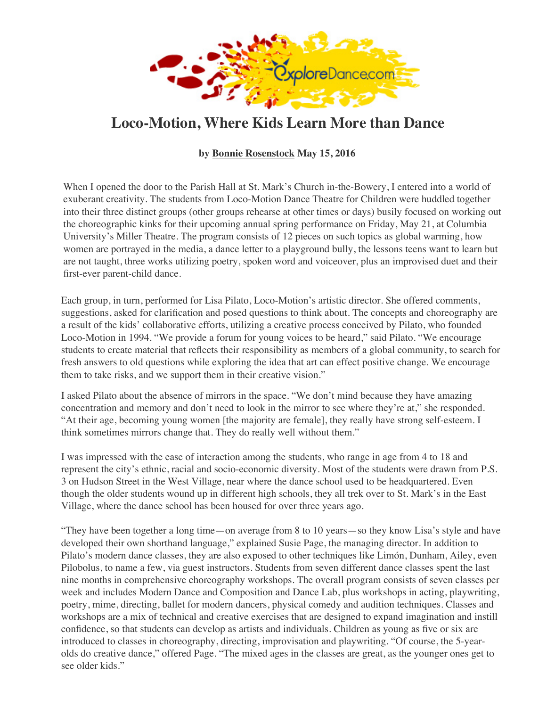

## **Loco-Motion, Where Kids Learn More than Dance**

**by Bonnie Rosenstock May 15, 2016**

When I opened the door to the Parish Hall at St. Mark's Church in-the-Bowery, I entered into [a world](http://exploredance.com/) of exuberant creativity. The students fro[m Loco-Motion Dan](https://www.exploredance.com/list.htm?sid=755&s=author)ce Theatre for Children were huddled together into their three distinct groups (other groups rehearse at other times or days) busily focused on working out the choreographic kinks for their upcoming annual spring performance on Friday, May 21, at Columbia University's Miller Theatre. The p[rogram consists of 12 pieces on such topics as globa](http://www.millertheatre.com/)l warming, how women are portrayed in the media, a dance letter to a playground bully, the lessons teens want [to learn but](http://exploredance.com/)  are not taught, three works utilizing poetry, spoken word and voiceover, plus an improvised duet and their first-ever parent-child dance.

Each group, in turn, performed for Lisa Pilato, Loco-Motion's artistic director. She offered comments, [suggestions, asked for clarifica](http://www.exploredance.com/subscribe.htm)tion and posed questions to think about. The concepts and choreography are a result of the kids' collaborative efforts, utilizing a creative process conceived by Pilato, who founded Loco-Motion in 1994. "We provide a forum for young voices to be heard," said Pilato. "We encourage students to create material that reflects their responsibility as members of a global community, to search for fresh answers to old questions while exploring the idea that art can effect positive change. We encourage them to take risks, and we support them in their creative vision."

I asked Pilato about the absence of mirrors in the space. "We don't mind because they have amazing concentration and memory and don't need to look in the mirror to see where they're at," she responded. "At their age, becoming young women [the majority are female], they really have strong self-esteem. I think sometimes mirrors change that. They do really well without them."

I was impressed with the ease of interaction among the students, who range in age from 4 to 18 and represent the city's ethnic, racial and socio-economic diversity. Most of the students were drawn from P.S. [3 on Hudson Street in the W](http://www.exploredance.com/subscribe.htm)est Village, near where the dance school used to be headquartered. Even though the older students wound up in different high schools, they all trek over to St. Mark's in the East Village, where the dance school has been housed for over three years ago.

["They](http://www.google.com/) have been together a long time—on average from 8 to 10 years—so they know Lisa's style and have developed their own shorthand language," explained Susie Page, the managing director. In addition to Pilato's modern dance classes, they are also exposed to other techniques like Limón, Dunham, Ailey, even Pilobolus, to name a few, via guest instructors. Students from seven different dance classes spent the last nine months in comprehensive choreography workshops. The overall program consists of seven classes per week and includes Modern Dance and Composition and Dance Lab, plus workshops in acting, playwriting, poetry, mime, directing, ballet for modern dancers, physical comedy and audition techniques. Classes and [workshops](https://www.exploredance.com/index.htm#search) are a mix of technical and creative exercises that are designed to expand imagination and instill confidence, so that students can develop as artists and individuals. Children as young as five or six are [introduc](https://www.exploredance.com/list.htm?sid=755&s=author)ed to classes in choreography, directing, improvisation and playwriting. "Of course, the 5-yearolds do creative dance," offered Page. "The mixed ages in the classes are great, as the younger ones get to see older kids."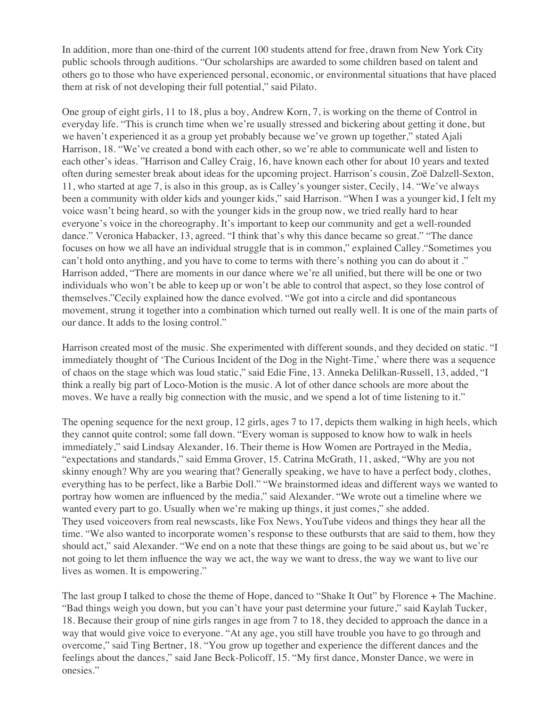In addition, more than one-third of the current 100 students attend for free, drawn from New York City public schools through auditions. "Our scholarships are awarded to some children based on talent and [ot](https://www.exploredance.com/list.htm?sid=126&s=type)hers go to those who have experienced personal, economic, or environmental situations that have placed them at risk of not developing their full potential," said Pilato.

[One group](https://www.exploredance.com/list.htm?sid=29&s=type) of eight girls, 11 to 18, plus a boy, Andrew Korn, 7, is working on the theme of Control in [everyday life. "This is cru](https://www.exploredance.com/list.htm?sid=674&s=venue)nch time when we're usually stressed and bickering about getting it done, but we haven't experienced it as a group yet probably because we've grown up together," stated Ajali Harrison, 18. "We've created a bond with each other, so we're able to communicate well and listen to [ea](https://www.exploredance.com/list.htm?sid=United%20States&s=country)ch other's ideas. "Harrison and Calley Craig, 16, have known each other for about 10 years and texted [ofte](https://www.exploredance.com/list.htm?sid=1&s=region)n during semester break about ideas for the upcoming project. Harrison's cousin, Zoë Dalzell-Sexton, 11, who started at age 7, is also in this group, as is Calley's younger sister, Cecily, 14. "We've always been a community with older kids and younger kids," said Harrison. "When I was a younger kid, I felt my [voi](https://www.exploredance.com/list.htm?sid=2&s=city_state)ce wasn't being heard, so with the younger kids in the group now, we tried really hard to hear everyone's voice in the choreography. It's important to keep our community and get a well-rounded dance." Veronica Habacker, 13, agreed. "I think that's why this dance became so great." "The dance focuses on how we all have an individual struggle that is in common," explained Calley."Sometimes you can't hold onto anything, and you have to come to terms with there's nothing you can do about it ." [Harrison added,](http://exploredance.com/) "There are moments in our dance where we're all unified, but there will be one or two individuals who won't be able to keep up or won't be able to control that aspect, so they lose control of themselves."Cecily explained how the dance evolved. "We got into a circle and did spontaneous movement, strung it together into a combination which turned out really well. It is one of the main parts of our dance. It adds to the losing control."

Harrison created most of the music. She experimented with different sounds, and they decided on static. "I immediately thought of 'The Curious Incident of the Dog in the Night-Time,' where there was a sequence of chaos on the stage which was loud static," said Edie Fine, 13. Anneka Delilkan-Russell, 13, added, "I think a really big part of Loco-Motion is the music. A lot of other dance schools are more about the moves. We have a really big connection with the music, and we spend a lot of time listening to it."

The opening sequence for the next group, 12 girls, ages 7 to 17, depicts them walking in high heels, which they cannot quite control; some fall down. "Every woman is supposed to know how to walk in heels immediately," said Lindsay Alexander, 16. Their theme is How Women are Portrayed in the [Media,](http://exploredance.com/) "expectations and standards," said Emma Grover, 15. Catrina McGrath, 11, asked, "Why are you not skinny enough? Why are you wearing that? Generally speaking, we have to have a perfect body, clothes, everything has to be perfect, like a Barbie Doll." "We brainstormed ideas and different ways we wanted to portray how women are influenced by the media," said Alexander. "We wrote out a timeline where we wanted every part to go. Usually when we're making up things, it just comes," she added. They used voiceovers from real newscasts, like Fox News, YouTube videos and things they hear all the time. "We also wanted to incorporate women's response to these outbursts that are said to them, how they should act," said Alexander. "We end on a note that these things are going to be said about us, but we're not going to let them influence the way we act, the way we want to dress, the way we want to live our lives as women. It is empowering."

The last group I talked to chose the theme of Hope, danced to "Shake It Out" by Florence + The Machine. "Bad things weigh you down, but you can't have your past determine your future," said Kaylah Tucker, 18. Because their group of nine girls ranges in age from 7 to 18, they decided to approach the dance in a way that would give voice to everyone. "At any age, you still have trouble you have to go through and overcome," said Ting Bertner, 18. "You grow up together and experience the different dances and the feelings about the dances," said Jane Beck-Policoff, 15. "My first dance, Monster Dance, we were in onesies."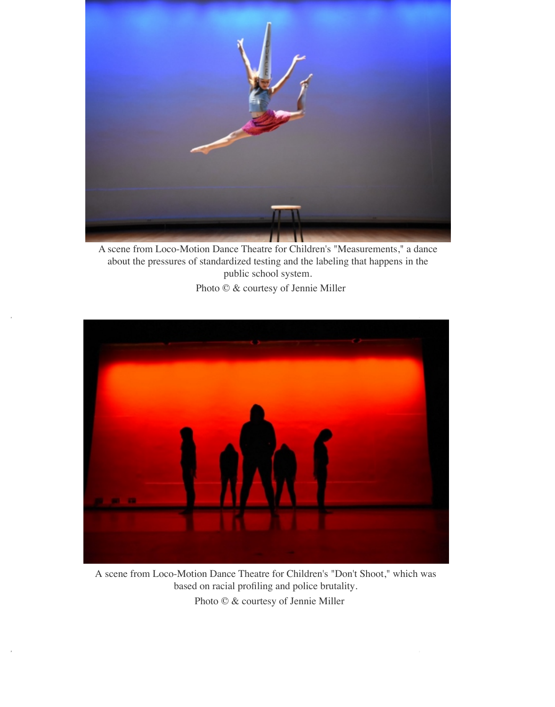

A scene from Loco-Motion Dance Theatre for Children's "Measurements," a dance about the pressures of standardized testing and the labeling that happens in the public school system.

Photo © & courtesy of Jennie Miller



A scene from Loco-Motion Dance Theatre for Children's "Don't Shoot," which was based on racial profiling and police brutality. Photo © & courtesy of Jennie Miller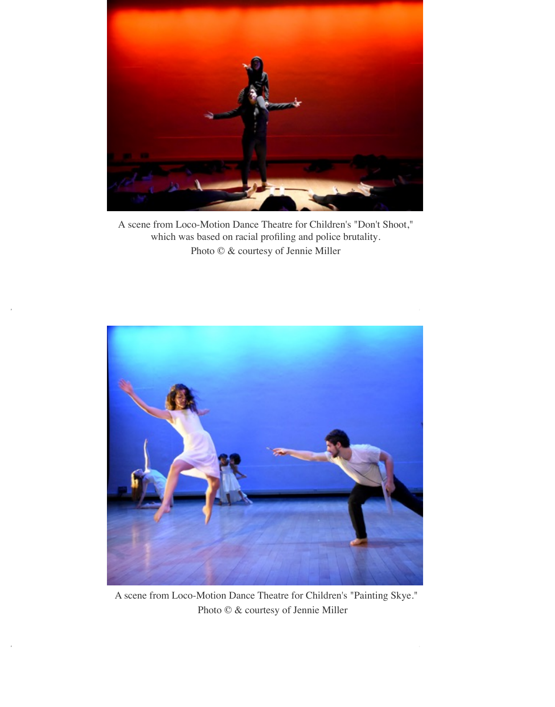

A scene from Loco-Motion Dance Theatre for Children's "Don't Shoot," which was based on racial profiling and police brutality. Photo © & courtesy of Jennie Miller



A scene from Loco-Motion Dance Theatre for Children's "Painting Skye." Photo © & courtesy of Jennie Miller